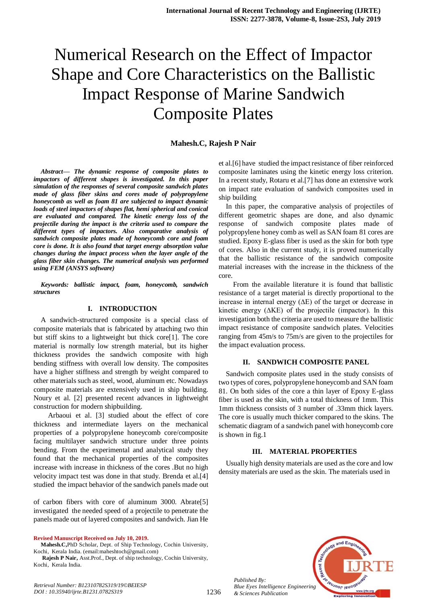# Numerical Research on the Effect of Impactor Shape and Core Characteristics on the Ballistic Impact Response of Marine Sandwich Composite Plates

# **Mahesh.C, Rajesh P Nair**

*Abstract***—** *The dynamic response of composite plates to impactors of different shapes is investigated. In this paper simulation of the responses of several composite sandwich plates made of glass fiber skins and cores made of polypropylene honeycomb as well as foam 81 are subjected to impact dynamic loads of steel impactors of shapes flat, hemi spherical and conical are evaluated and compared. The kinetic energy loss of the projectile during the impact is the criteria used to compare the different types of impactors. Also comparative analysis of sandwich composite plates made of honeycomb core and foam core is done. It is also found that target energy absorption value changes during the impact process when the layer angle of the glass fiber skin changes. The numerical analysis was performed using FEM (ANSYS software)*

*Keywords: ballistic impact, foam, honeycomb, sandwich structures*

## **I. INTRODUCTION**

A sandwich-structured composite is a special class of [composite materials](https://en.wikipedia.org/wiki/Composite_material) that is fabricated by attaching two thin but stiff skins to a lightweight but thick core[1]. The core material is normally low strength material, but its higher thickness provides the sandwich composite with high [bending](https://en.wikipedia.org/wiki/Bending) [stiffness](https://en.wikipedia.org/wiki/Stiffness) with overall low [density.](https://en.wikipedia.org/wiki/Density) The composites have a higher stiffness and strength by weight compared to other materials such as steel, wood, aluminum etc. Nowadays composite materials are extensively used in ship building. Noury et al. [2] presented recent advances in lightweight construction for modern shipbuilding.

Arbaoui et al. [3] studied about the effect of core thickness and intermediate layers on the mechanical properties of a polypropylene honeycomb core/composite facing multilayer sandwich structure under three points bending. From the experimental and analytical study they found that the mechanical properties of the composites increase with increase in thickness of the cores .But no high velocity impact test was done in that study. Brenda et al.[4] studied the impact behavior of the sandwich panels made out

of carbon fibers with core of aluminum 3000. Abrate[5] investigated the needed speed of a projectile to penetrate the panels made out of layered composites and sandwich. Jian He

**Revised Manuscript Received on July 10, 2019.**

**Mahesh.C,**PhD Scholar, Dept. of Ship Technology, Cochin University, Kochi, Kerala India. (email:maheshtoch@gmail.com)

**Rajesh P Nair,** Asst.Prof., Dept. of ship technology, Cochin University, Kochi, Kerala India.

et al.[6] have studied the impact resistance of fiber reinforced composite laminates using the kinetic energy loss criterion. In a recent study, Rotaru et al.[7] has done an extensive work on impact rate evaluation of sandwich composites used in ship building

In this paper, the comparative analysis of projectiles of different geometric shapes are done, and also dynamic response of sandwich composite plates made of polypropylene honey comb as well as SAN foam 81 cores are studied. Epoxy E-glass fiber is used as the skin for both type of cores. Also in the current study, it is proved numerically that the ballistic resistance of the sandwich composite material increases with the increase in the thickness of the core.

From the available literature it is found that ballistic resistance of a target material is directly proportional to the increase in internal energy (∆E) of the target or decrease in kinetic energy (∆KE) of the projectile (impactor). In this investigation both the criteria are used to measure the ballistic impact resistance of composite sandwich plates. Velocities ranging from 45m/s to 75m/s are given to the projectiles for the impact evaluation process.

#### **II. SANDWICH COMPOSITE PANEL**

Sandwich composite plates used in the study consists of two types of cores, polypropylene honeycomb and SAN foam 81. On both sides of the core a thin layer of Epoxy E-glass fiber is used as the skin, with a total thickness of 1mm. This 1mm thickness consists of 3 number of .33mm thick layers. The core is usually much thicker compared to the skins. The schematic diagram of a sandwich panel with honeycomb core is shown in fig.1

## **III. MATERIAL PROPERTIES**

Usually high density materials are used as the core and low density materials are used as the skin. The materials used in



*Published By:*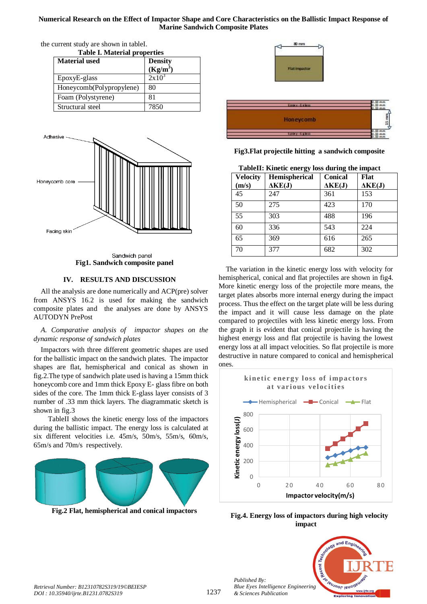# **Numerical Research on the Effect of Impactor Shape and Core Characteristics on the Ballistic Impact Response of Marine Sandwich Composite Plates**

| <b>Table I. Material properties</b> |                |  |
|-------------------------------------|----------------|--|
| <b>Material used</b>                | <b>Density</b> |  |
|                                     | $(Kg/m^3)$     |  |
| EpoxyE-glass                        | $2x10^5$       |  |
| Honeycomb(Polypropylene)            | 80             |  |
| Foam (Polystyrene)                  | 81             |  |
| Structural steel                    | 7850           |  |

the current study are shown in tableI.



Sandwich panel **Fig1. Sandwich composite panel**

# **IV. RESULTS AND DISCUSSION**

All the analysis are done numerically and ACP(pre) solver from ANSYS 16.2 is used for making the sandwich composite plates and the analyses are done by ANSYS AUTODYN PrePost

*A. Comparative analysis of impactor shapes on the dynamic response of sandwich plates* 

Impactors with three different geometric shapes are used for the ballistic impact on the sandwich plates. The impactor shapes are flat, hemispherical and conical as shown in fig.2.The type of sandwich plate used is having a 15mm thick honeycomb core and 1mm thick Epoxy E- glass fibre on both sides of the core. The 1mm thick E-glass layer consists of 3 number of .33 mm thick layers. The diagrammatic sketch is shown in fig.3

TableII shows the kinetic energy loss of the impactors during the ballistic impact. The energy loss is calculated at six different velocities i.e. 45m/s, 50m/s, 55m/s, 60m/s, 65m/s and 70m/s respectively.



**Fig.2 Flat, hemispherical and conical impactors**





# **Fig3.Flat projectile hitting a sandwich composite**

**TableII: Kinetic energy loss during the impact**

| <b>Velocity</b> | TableII: Kinetic energy loss during the impact<br>Hemispherical | Conical        | Flat           |
|-----------------|-----------------------------------------------------------------|----------------|----------------|
| (m/s)           | $\Delta KE(J)$                                                  | $\Delta KE(J)$ | $\Delta KE(J)$ |
| 45              | 247                                                             | 361            | 153            |
| 50              | 275                                                             | 423            | 170            |
| $\overline{55}$ | 303                                                             | 488            | 196            |
| 60              | 336                                                             | 543            | 224            |
| 65              | 369                                                             | 616            | 265            |
| 70              | 377                                                             | 682            | 302            |

The variation in the kinetic energy loss with velocity for hemispherical, conical and flat projectiles are shown in fig4. More kinetic energy loss of the projectile more means, the target plates absorbs more internal energy during the impact process. Thus the effect on the target plate will be less during the impact and it will cause less damage on the plate compared to projectiles with less kinetic energy loss. From the graph it is evident that conical projectile is having the highest energy loss and flat projectile is having the lowest energy loss at all impact velocities. So flat projectile is more destructive in nature compared to conical and hemispherical ones.



**Fig.4. Energy loss of impactors during high velocity impact**



*Published By:*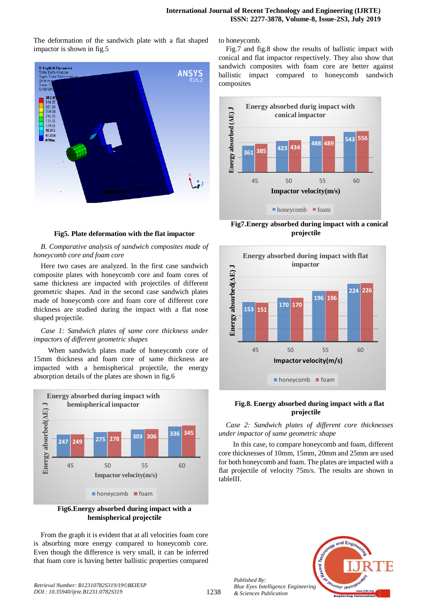The deformation of the sandwich plate with a flat shaped impactor is shown in fig.5



#### **Fig5. Plate deformation with the flat impactor**

*B. Comparative analysis of sandwich composites made of honeycomb core and foam core*

Here two cases are analyzed. In the first case sandwich composite plates with honeycomb core and foam cores of same thickness are impacted with projectiles of different geometric shapes. And in the second case sandwich plates made of honeycomb core and foam core of different core thickness are studied during the impact with a flat nose shaped projectile.

## *Case 1: Sandwich plates of same core thickness under impactors of different geometric shapes*

When sandwich plates made of honeycomb core of 15mm thickness and foam core of same thickness are impacted with a hemispherical projectile, the energy absorption details of the plates are shown in fig.6



**Fig6.Energy absorbed during impact with a hemispherical projectile**

From the graph it is evident that at all velocities foam core is absorbing more energy compared to honeycomb core. Even though the difference is very small, it can be inferred that foam core is having better ballistic properties compared to honeycomb.

Fig.7 and fig.8 show the results of ballistic impact with conical and flat impactor respectively. They also show that sandwich composites with foam core are better against ballistic impact compared to honeycomb sandwich composites



**Fig7.Energy absorbed during impact with a conical projectile**



## **Fig.8. Energy absorbed during impact with a flat projectile**

*Case 2: Sandwich plates of different core thicknesses under impactor of same geometric shape*

In this case, to compare honeycomb and foam, different core thicknesses of 10mm, 15mm, 20mm and 25mm are used for both honeycomb and foam. The plates are impacted with a flat projectile of velocity 75m/s. The results are shown in tableIII.



*Published By: Blue Eyes Intelligence Engineering & Sciences Publication*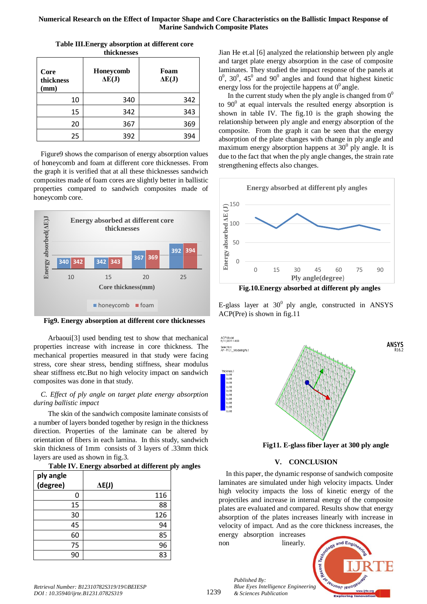## **Numerical Research on the Effect of Impactor Shape and Core Characteristics on the Ballistic Impact Response of Marine Sandwich Composite Plates**

| Core<br>thickness<br>(mm) | Honeycomb<br>$\Delta E(J)$ | Foam<br>$\Delta E(J)$ |
|---------------------------|----------------------------|-----------------------|
| 10                        | 340                        | 342                   |
| 15                        | 342                        | 343                   |
| 20                        | 367                        | 369                   |
| 25                        | 392                        | 394                   |

**Table III.Energy absorption at different core**  <u>thiolenogog</u>

Figure9 shows the comparison of energy absorption values of honeycomb and foam at different core thicknesses. From the graph it is verified that at all these thicknesses sandwich composites made of foam cores are slightly better in ballistic properties compared to sandwich composites made of honeycomb core.



**Fig9. Energy absorption at different core thicknesses**

Arbaoui[3] used bending test to show that mechanical properties increase with increase in core thickness. The mechanical properties measured in that study were facing stress, core shear stress, bending stiffness, shear modulus shear stiffness etc.But no high velocity impact on sandwich composites was done in that study.

## *C. Effect of ply angle on target plate energy absorption during ballistic impact*

The skin of the sandwich composite laminate consists of a number of layers bonded together by resign in the thickness direction. Properties of the laminate can be altered by orientation of fibers in each lamina. In this study, sandwich skin thickness of 1mm consists of 3 layers of .33mm thick layers are used as shown in fig.3.

**Table IV. Energy absorbed at different ply angles**

| ply angle<br>(degree) | $\Delta E(J)$ |
|-----------------------|---------------|
| 0                     | 116           |
| 15                    | 88            |
| 30                    | 126           |
| 45                    | 94            |
| 60                    | 85            |
| 75                    | 96            |
| 90                    | 83            |

Jian He et.al [6] analyzed the relationship between ply angle and target plate energy absorption in the case of composite laminates. They studied the impact response of the panels at  $0^0$ ,  $30^0$ ,  $45^0$  and  $90^0$  angles and found that highest kinetic energy loss for the projectile happens at  $0^0$  angle.

In the current study when the ply angle is changed from  $0^0$ to  $90^{\circ}$  at equal intervals the resulted energy absorption is shown in table IV. The fig.10 is the graph showing the relationship between ply angle and energy absorption of the composite. From the graph it can be seen that the energy absorption of the plate changes with change in ply angle and maximum energy absorption happens at  $30^0$  ply angle. It is due to the fact that when the ply angle changes, the strain rate strengthening effects also changes.



**Fig.10.Energy absorbed at different ply angles**

E-glass layer at  $30^0$  ply angle, constructed in ANSYS ACP(Pre) is shown in fig.11



**Fig11. E-glass fiber layer at 300 ply angle**

# **V. CONCLUSION**

In this paper, the dynamic response of sandwich composite laminates are simulated under high velocity impacts. Under high velocity impacts the loss of kinetic energy of the projectiles and increase in internal energy of the composite plates are evaluated and compared. Results show that energy absorption of the plates increases linearly with increase in velocity of impact. And as the core thickness increases, the

energy absorption increases non linearly.

*Published By:*